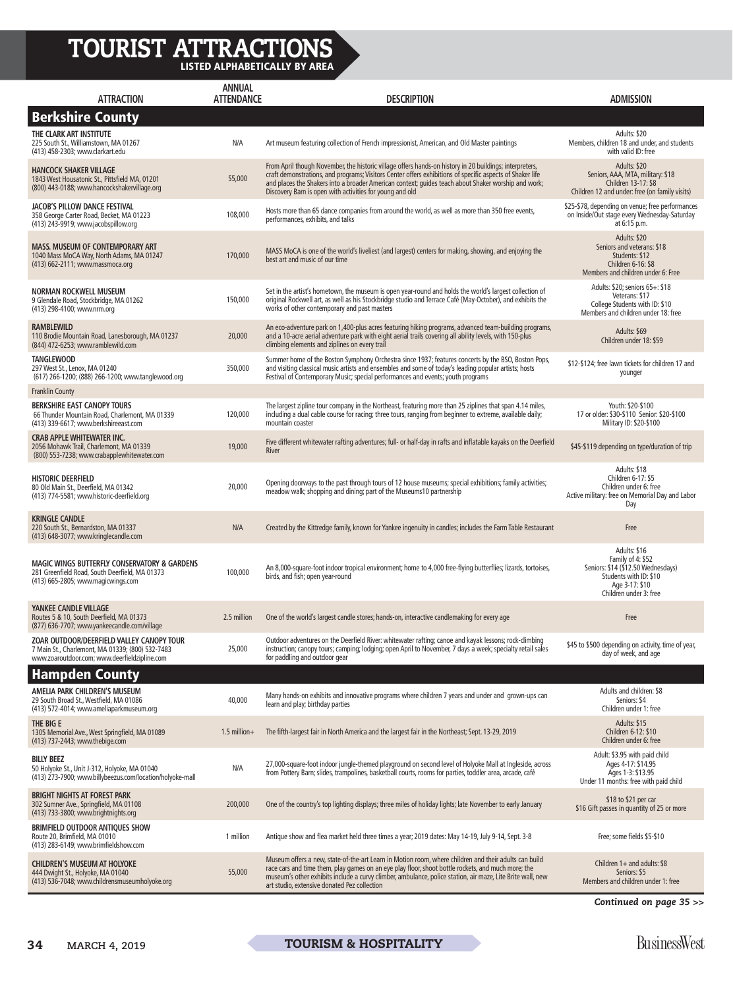## TOURIST ATTRACTIONS

LISTED ALPHABETICALLY BY AREA

| <b>ATTRACTION</b>                                                                                                                              | <b>ANNUAL</b><br><b>ATTENDANCE</b> | <b>DESCRIPTION</b>                                                                                                                                                                                                                                                                                                                                                                      | <b>ADMISSION</b>                                                                                                                              |
|------------------------------------------------------------------------------------------------------------------------------------------------|------------------------------------|-----------------------------------------------------------------------------------------------------------------------------------------------------------------------------------------------------------------------------------------------------------------------------------------------------------------------------------------------------------------------------------------|-----------------------------------------------------------------------------------------------------------------------------------------------|
| <b>Berkshire County</b>                                                                                                                        |                                    |                                                                                                                                                                                                                                                                                                                                                                                         |                                                                                                                                               |
| THE CLARK ART INSTITUTE<br>225 South St., Williamstown, MA 01267<br>(413) 458-2303; www.clarkart.edu                                           | N/A                                | Art museum featuring collection of French impressionist, American, and Old Master paintings                                                                                                                                                                                                                                                                                             | Adults: \$20<br>Members, children 18 and under, and students<br>with valid ID: free                                                           |
| <b>HANCOCK SHAKER VILLAGE</b><br>1843 West Housatonic St., Pittsfield MA, 01201<br>(800) 443-0188; www.hancockshakervillage.org                | 55,000                             | From April though November, the historic village offers hands-on history in 20 buildings; interpreters,<br>craft demonstrations, and programs; Visitors Center offers exhibitions of specific aspects of Shaker life<br>and places the Shakers into a broader American context; quides teach about Shaker worship and work;<br>Discovery Barn is open with activities for young and old | Adults: \$20<br>Seniors, AAA, MTA, military: \$18<br>Children 13-17: \$8<br>Children 12 and under: free (on family visits)                    |
| <b>JACOB'S PILLOW DANCE FESTIVAL</b><br>358 George Carter Road, Becket, MA 01223<br>(413) 243-9919; www.jacobspillow.org                       | 108,000                            | Hosts more than 65 dance companies from around the world, as well as more than 350 free events,<br>performances, exhibits, and talks                                                                                                                                                                                                                                                    | \$25-\$78, depending on venue; free performances<br>on Inside/Out stage every Wednesday-Saturday<br>at 6:15 p.m.                              |
| <b>MASS. MUSEUM OF CONTEMPORARY ART</b><br>1040 Mass MoCA Way, North Adams, MA 01247<br>(413) 662-2111; www.massmoca.org                       | 170,000                            | MASS MoCA is one of the world's liveliest (and largest) centers for making, showing, and enjoying the<br>best art and music of our time                                                                                                                                                                                                                                                 | Adults: \$20<br>Seniors and veterans: \$18<br>Students: \$12<br>Children 6-16: \$8<br>Members and children under 6: Free                      |
| NORMAN ROCKWELL MUSEUM<br>9 Glendale Road, Stockbridge, MA 01262<br>(413) 298-4100; www.nrm.org                                                | 150,000                            | Set in the artist's hometown, the museum is open year-round and holds the world's largest collection of<br>original Rockwell art, as well as his Stockbridge studio and Terrace Café (May-October), and exhibits the<br>works of other contemporary and past masters                                                                                                                    | Adults: \$20: seniors 65+: \$18<br>Veterans: \$17<br>College Students with ID: \$10<br>Members and children under 18: free                    |
| <b>RAMBLEWILD</b><br>110 Brodie Mountain Road, Lanesborough, MA 01237<br>(844) 472-6253; www.ramblewild.com                                    | 20,000                             | An eco-adventure park on 1,400-plus acres featuring hiking programs, advanced team-building programs,<br>and a 10-acre aerial adventure park with eight aerial trails covering all ability levels, with 150-plus<br>climbing elements and ziplines on every trail                                                                                                                       | Adults: \$69<br>Children under 18: \$59                                                                                                       |
| <b>TANGLEWOOD</b><br>297 West St., Lenox, MA 01240<br>(617) 266-1200; (888) 266-1200; www.tanglewood.org                                       | 350,000                            | Summer home of the Boston Symphony Orchestra since 1937; features concerts by the BSO, Boston Pops,<br>and visiting classical music artists and ensembles and some of today's leading popular artists; hosts<br>Festival of Contemporary Music; special performances and events; youth programs                                                                                         | \$12-\$124; free lawn tickets for children 17 and<br>younger                                                                                  |
| <b>Franklin County</b>                                                                                                                         |                                    |                                                                                                                                                                                                                                                                                                                                                                                         |                                                                                                                                               |
| <b>BERKSHIRE EAST CANOPY TOURS</b><br>66 Thunder Mountain Road, Charlemont, MA 01339<br>(413) 339-6617; www.berkshireeast.com                  | 120,000                            | The largest zipline tour company in the Northeast, featuring more than 25 ziplines that span 4.14 miles,<br>including a dual cable course for racing; three tours, ranging from beginner to extreme, available daily;<br>mountain coaster                                                                                                                                               | Youth: \$20-\$100<br>17 or older: \$30-\$110 Senior: \$20-\$100<br>Military ID: \$20-\$100                                                    |
| <b>CRAB APPLE WHITEWATER INC.</b><br>2056 Mohawk Trail, Charlemont, MA 01339<br>(800) 553-7238; www.crabapplewhitewater.com                    | 19,000                             | Five different white water rafting adventures; full- or half-day in rafts and inflatable kayaks on the Deerfield<br>River                                                                                                                                                                                                                                                               | \$45-\$119 depending on type/duration of trip                                                                                                 |
| <b>HISTORIC DEERFIELD</b><br>80 Old Main St., Deerfield, MA 01342<br>(413) 774-5581; www.historic-deerfield.org                                | 20,000                             | Opening doorways to the past through tours of 12 house museums; special exhibitions; family activities;<br>meadow walk; shopping and dining; part of the Museums10 partnership                                                                                                                                                                                                          | Adults: \$18<br>Children 6-17: \$5<br>Children under 6: free<br>Active military: free on Memorial Day and Labor<br>Day                        |
| <b>KRINGLE CANDLE</b><br>220 South St., Bernardston, MA 01337<br>(413) 648-3077; www.kringlecandle.com                                         | N/A                                | Created by the Kittredge family, known for Yankee ingenuity in candles; includes the Farm Table Restaurant                                                                                                                                                                                                                                                                              | Free                                                                                                                                          |
| MAGIC WINGS BUTTERFLY CONSERVATORY & GARDENS<br>281 Greenfield Road, South Deerfield, MA 01373<br>(413) 665-2805; www.magicwings.com           | 100,000                            | An 8,000-square-foot indoor tropical environment; home to 4,000 free-flying butterflies; lizards, tortoises,<br>birds, and fish; open year-round                                                                                                                                                                                                                                        | Adults: \$16<br>Family of 4: \$52<br>Seniors: \$14 (\$12.50 Wednesdays)<br>Students with ID: \$10<br>Age 3-17: \$10<br>Children under 3: free |
| YANKEE CANDLE VILLAGE<br>Routes 5 & 10, South Deerfield, MA 01373<br>(877) 636-7707; www.yankeecandle.com/village                              | 2.5 million                        | One of the world's largest candle stores; hands-on, interactive candlemaking for every age                                                                                                                                                                                                                                                                                              | Free                                                                                                                                          |
| ZOAR OUTDOOR/DEERFIELD VALLEY CANOPY TOUR<br>7 Main St., Charlemont, MA 01339; (800) 532-7483<br>www.zoaroutdoor.com; www.deerfieldzipline.com | 25,000                             | Outdoor adventures on the Deerfield River: whitewater rafting; canoe and kayak lessons; rock-climbing<br>instruction; canopy tours; camping; lodging; open April to November, 7 days a week; specialty retail sales<br>for paddling and outdoor gear                                                                                                                                    | \$45 to \$500 depending on activity, time of year,<br>day of week, and age                                                                    |
| <b>Hampden County</b>                                                                                                                          |                                    |                                                                                                                                                                                                                                                                                                                                                                                         |                                                                                                                                               |
| AMELIA PARK CHILDREN'S MUSEUM<br>29 South Broad St., Westfield, MA 01086<br>(413) 572-4014; www.ameliaparkmuseum.org                           | 40,000                             | Many hands-on exhibits and innovative programs where children 7 years and under and grown-ups can<br>learn and play; birthday parties                                                                                                                                                                                                                                                   | Adults and children: \$8<br>Seniors: \$4<br>Children under 1: free                                                                            |
| THE BIG E<br>1305 Memorial Ave., West Springfield, MA 01089<br>(413) 737-2443; www.thebige.com                                                 | $1.5$ million+                     | The fifth-largest fair in North America and the largest fair in the Northeast; Sept. 13-29, 2019                                                                                                                                                                                                                                                                                        | Adults: \$15<br>Children 6-12: \$10<br>Children under 6: free                                                                                 |
| <b>BILLY BEEZ</b><br>50 Holyoke St., Unit J-312, Holyoke, MA 01040<br>(413) 273-7900; www.billybeezus.com/location/holyoke-mall                | N/A                                | 27,000-square-foot indoor jungle-themed playground on second level of Holyoke Mall at Ingleside, across<br>from Pottery Barn; slides, trampolines, basketball courts, rooms for parties, toddler area, arcade, café                                                                                                                                                                     | Adult: \$3.95 with paid child<br>Ages 4-17: \$14.95<br>Ages 1-3: \$13.95<br>Under 11 months: free with paid child                             |
| <b>BRIGHT NIGHTS AT FOREST PARK</b><br>302 Sumner Ave., Springfield, MA 01108<br>(413) 733-3800; www.brightnights.org                          | 200,000                            | One of the country's top lighting displays; three miles of holiday lights; late November to early January                                                                                                                                                                                                                                                                               | \$18 to \$21 per car<br>\$16 Gift passes in quantity of 25 or more                                                                            |
| <b>BRIMFIELD OUTDOOR ANTIQUES SHOW</b><br>Route 20, Brimfield, MA 01010<br>(413) 283-6149; www.brimfieldshow.com                               | 1 million                          | Antique show and flea market held three times a year; 2019 dates: May 14-19, July 9-14, Sept. 3-8                                                                                                                                                                                                                                                                                       | Free; some fields \$5-\$10                                                                                                                    |
| <b>CHILDREN'S MUSEUM AT HOLYOKE</b><br>444 Dwight St., Holyoke, MA 01040<br>(413) 536-7048; www.childrensmuseumholyoke.org                     | 55,000                             | Museum offers a new, state-of-the-art Learn in Motion room, where children and their adults can build<br>race cars and time them, play games on an eye play floor, shoot bottle rockets, and much more; the<br>museum's other exhibits include a curvy climber, ambulance, police station, air maze, Lite Brite wall, new<br>art studio, extensive donated Pez collection               | Children $1+$ and adults: \$8<br>Seniors: \$5<br>Members and children under 1: free                                                           |

*Continued on page 35 >>*

<sup>34</sup> **MARCH 4, 2019** TOURISM & HOSPITALITY BusinessWest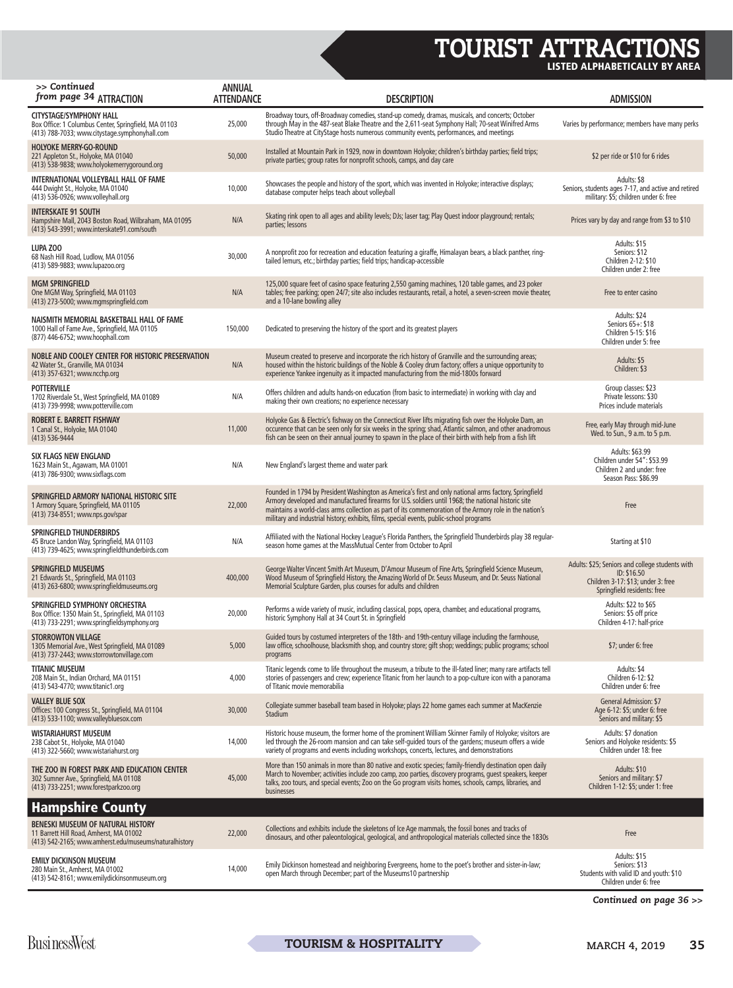## TOURIST ATTRACTIONS LISTED ALPHABETICALLY BY AREA

| >> Continued<br>from page 34 ATTRACTION                                                                                                | <b>ANNUAL</b><br><b>ATTENDANCE</b> | <b>DESCRIPTION</b>                                                                                                                                                                                                                                                                                                                                                                                                   | <b>ADMISSION</b>                                                                                                                    |
|----------------------------------------------------------------------------------------------------------------------------------------|------------------------------------|----------------------------------------------------------------------------------------------------------------------------------------------------------------------------------------------------------------------------------------------------------------------------------------------------------------------------------------------------------------------------------------------------------------------|-------------------------------------------------------------------------------------------------------------------------------------|
| CITYSTAGE/SYMPHONY HALL<br>Box Office: 1 Columbus Center, Springfield, MA 01103<br>(413) 788-7033; www.citystage.symphonyhall.com      | 25,000                             | Broadway tours, off-Broadway comedies, stand-up comedy, dramas, musicals, and concerts; October<br>through May in the 487-seat Blake Theatre and the 2,611-seat Symphony Hall; 70-seat Winifred Arms<br>Studio Theatre at CityStage hosts numerous community events, performances, and meetings                                                                                                                      | Varies by performance; members have many perks                                                                                      |
| <b>HOLYOKE MERRY-GO-ROUND</b><br>221 Appleton St., Holyoke, MA 01040<br>(413) 538-9838; www.holyokemerrygoround.org                    | 50,000                             | Installed at Mountain Park in 1929, now in downtown Holyoke; children's birthday parties; field trips;<br>private parties; group rates for nonprofit schools, camps, and day care                                                                                                                                                                                                                                    | \$2 per ride or \$10 for 6 rides                                                                                                    |
| INTERNATIONAL VOLLEYBALL HALL OF FAME<br>444 Dwight St., Holyoke, MA 01040<br>(413) 536-0926; www.volleyhall.org                       | 10,000                             | Showcases the people and history of the sport, which was invented in Holyoke; interactive displays;<br>database computer helps teach about volleyball                                                                                                                                                                                                                                                                | Adults: \$8<br>Seniors, students ages 7-17, and active and retired<br>military: \$5; children under 6: free                         |
| <b>INTERSKATE 91 SOUTH</b><br>Hampshire Mall, 2043 Boston Road, Wilbraham, MA 01095<br>(413) 543-3991; www.interskate91.com/south      | N/A                                | Skating rink open to all ages and ability levels; DJs; laser tag; Play Quest indoor playground; rentals;<br>parties; lessons                                                                                                                                                                                                                                                                                         | Prices vary by day and range from \$3 to \$10                                                                                       |
| LUPA ZOO<br>68 Nash Hill Road, Ludlow, MA 01056<br>(413) 589-9883; www.lupazoo.org                                                     | 30,000                             | A nonprofit zoo for recreation and education featuring a giraffe, Himalayan bears, a black panther, ring-<br>tailed lemurs, etc.; birthday parties; field trips; handicap-accessible                                                                                                                                                                                                                                 | Adults: \$15<br>Seniors: \$12<br>Children 2-12: \$10<br>Children under 2: free                                                      |
| <b>MGM SPRINGFIELD</b><br>One MGM Way, Springfield, MA 01103<br>(413) 273-5000; www.mgmspringfield.com                                 | N/A                                | 125,000 square feet of casino space featuring 2,550 gaming machines, 120 table games, and 23 poker<br>tables; free parking; open 24/7; site also includes restaurants, retail, a hotel, a seven-screen movie theater,<br>and a 10-lane bowling alley                                                                                                                                                                 | Free to enter casino                                                                                                                |
| NAISMITH MEMORIAL BASKETBALL HALL OF FAME<br>1000 Hall of Fame Ave., Springfield, MA 01105<br>(877) 446-6752; www.hoophall.com         | 150,000                            | Dedicated to preserving the history of the sport and its greatest players                                                                                                                                                                                                                                                                                                                                            | Adults: \$24<br>Seniors $65 +: $18$<br>Children 5-15: \$16<br>Children under 5: free                                                |
| NOBLE AND COOLEY CENTER FOR HISTORIC PRESERVATION<br>42 Water St., Granville, MA 01034<br>(413) 357-6321; www.ncchp.org                | N/A                                | Museum created to preserve and incorporate the rich history of Granville and the surrounding areas;<br>housed within the historic buildings of the Noble & Cooley drum factory; offers a unique opportunity to<br>experience Yankee ingenuity as it impacted manufacturing from the mid-1800s forward                                                                                                                | Adults: \$5<br>Children: \$3                                                                                                        |
| <b>POTTERVILLE</b><br>1702 Riverdale St., West Springfield, MA 01089<br>(413) 739-9998; www.potterville.com                            | N/A                                | Offers children and adults hands-on education (from basic to intermediate) in working with clay and<br>making their own creations; no experience necessary                                                                                                                                                                                                                                                           | Group classes: \$23<br>Private lessons: \$30<br>Prices include materials                                                            |
| ROBERT E. BARRETT FISHWAY<br>1 Canal St., Holyoke, MA 01040<br>(413) 536-9444                                                          | 11,000                             | Holyoke Gas & Electric's fishway on the Connecticut River lifts migrating fish over the Holyoke Dam, an<br>occurence that can be seen only for six weeks in the spring; shad, Atlantic salmon, and other anadromous<br>fish can be seen on their annual journey to spawn in the place of their birth with help from a fish lift                                                                                      | Free, early May through mid-June<br>Wed. to Sun., 9 a.m. to 5 p.m.                                                                  |
| <b>SIX FLAGS NEW ENGLAND</b><br>1623 Main St., Agawam, MA 01001<br>(413) 786-9300; www.sixflags.com                                    | N/A                                | New England's largest theme and water park                                                                                                                                                                                                                                                                                                                                                                           | Adults: \$63.99<br>Children under 54": \$53.99<br>Children 2 and under: free<br>Season Pass: \$86.99                                |
| SPRINGFIELD ARMORY NATIONAL HISTORIC SITE<br>1 Armory Square, Springfield, MA 01105<br>(413) 734-8551; www.nps.gov/spar                | 22,000                             | Founded in 1794 by President Washington as America's first and only national arms factory, Springfield<br>Armory developed and manufactured firearms for U.S. soldiers until 1968; the national historic site<br>maintains a world-class arms collection as part of its commemoration of the Armory role in the nation's<br>military and industrial history; exhibits, films, special events, public-school programs | Free                                                                                                                                |
| SPRINGFIELD THUNDERBIRDS<br>45 Bruce Landon Way, Springfield, MA 01103<br>(413) 739-4625; www.springfieldthunderbirds.com              | N/A                                | Affiliated with the National Hockey League's Florida Panthers, the Springfield Thunderbirds play 38 regular-<br>season home games at the MassMutual Center from October to April                                                                                                                                                                                                                                     | Starting at \$10                                                                                                                    |
| <b>SPRINGFIELD MUSEUMS</b><br>21 Edwards St., Springfield, MA 01103<br>(413) 263-6800; www.springfieldmuseums.org                      | 400,000                            | George Walter Vincent Smith Art Museum, D'Amour Museum of Fine Arts, Springfield Science Museum,<br>Wood Museum of Springfield History, the Amazing World of Dr. Seuss Museum, and Dr. Seuss National<br>Memorial Sculpture Garden, plus courses for adults and children                                                                                                                                             | Adults: \$25; Seniors and college students with<br>ID: \$16.50<br>Children 3-17: \$13; under 3: free<br>Springfield residents: free |
| SPRINGFIELD SYMPHONY ORCHESTRA<br>Box Office: 1350 Main St., Springfield, MA 01103<br>(413) 733-2291; www.springfieldsymphony.org      | 20,000                             | Performs a wide variety of music, including classical, pops, opera, chamber, and educational programs,<br>historic Symphony Hall at 34 Court St. in Springfield                                                                                                                                                                                                                                                      | Adults: \$22 to \$65<br>Seniors: \$5 off price<br>Children 4-17: half-price                                                         |
| <b>STORROWTON VILLAGE</b><br>1305 Memorial Ave., West Springfield, MA 01089<br>(413) 737-2443; www.storrowtonvillage.com               | 5,000                              | Guided tours by costumed interpreters of the 18th- and 19th-century village including the farmhouse,<br>law office, schoolhouse, blacksmith shop, and country store; gift shop; weddings; public programs; school<br>programs                                                                                                                                                                                        | \$7; under 6: free                                                                                                                  |
| <b>TITANIC MUSEUM</b><br>208 Main St., Indian Orchard, MA 01151<br>(413) 543-4770; www.titanic1.org                                    | 4,000                              | Titanic legends come to life throughout the museum, a tribute to the ill-fated liner; many rare artifacts tell<br>stories of passengers and crew; experience Titanic from her launch to a pop-culture icon with a panorama<br>of Titanic movie memorabilia                                                                                                                                                           | Adults: \$4<br>Children 6-12: \$2<br>Children under 6: free                                                                         |
| <b>VALLEY BLUE SOX</b><br>Offices: 100 Congress St., Springfield, MA 01104<br>(413) 533-1100; www.valleybluesox.com                    | 30,000                             | Collegiate summer baseball team based in Holyoke; plays 22 home games each summer at MacKenzie<br>Stadium                                                                                                                                                                                                                                                                                                            | <b>General Admission: \$7</b><br>Age 6-12: \$5; under 6: free<br>Seniors and military: \$5                                          |
| WISTARIAHURST MUSEUM<br>238 Cabot St., Holyoke, MA 01040<br>(413) 322-5660; www.wistariahurst.org                                      | 14,000                             | Historic house museum, the former home of the prominent William Skinner Family of Holyoke; visitors are<br>led through the 26-room mansion and can take self-guided tours of the gardens; museum offers a wide<br>variety of programs and events including workshops, concerts, lectures, and demonstrations                                                                                                         | Adults: \$7 donation<br>Seniors and Holyoke residents: \$5<br>Children under 18: free                                               |
| THE ZOO IN FOREST PARK AND EDUCATION CENTER<br>302 Sumner Ave., Springfield, MA 01108<br>(413) 733-2251; www.forestparkzoo.org         | 45,000                             | More than 150 animals in more than 80 native and exotic species; family-friendly destination open daily<br>March to November; activities include zoo camp, zoo parties, discovery programs, quest speakers, keeper<br>talks, zoo tours, and special events; Zoo on the Go program visits homes, schools, camps, libraries, and<br>businesses                                                                         | Adults: \$10<br>Seniors and military: \$7<br>Children 1-12: \$5; under 1: free                                                      |
| <b>Hampshire County</b>                                                                                                                |                                    |                                                                                                                                                                                                                                                                                                                                                                                                                      |                                                                                                                                     |
| BENESKI MUSEUM OF NATURAL HISTORY<br>11 Barrett Hill Road, Amherst, MA 01002<br>(413) 542-2165; www.amherst.edu/museums/naturalhistory | 22,000                             | Collections and exhibits include the skeletons of Ice Age mammals, the fossil bones and tracks of<br>dinosaurs, and other paleontological, geological, and anthropological materials collected since the 1830s                                                                                                                                                                                                       | Free                                                                                                                                |
| <b>EMILY DICKINSON MUSEUM</b><br>280 Main St., Amherst, MA 01002<br>(413) 542-8161; www.emilydickinsonmuseum.org                       | 14,000                             | Emily Dickinson homestead and neighboring Evergreens, home to the poet's brother and sister-in-law;<br>open March through December; part of the Museums10 partnership                                                                                                                                                                                                                                                | Adults: \$15<br>Seniors: \$13<br>Students with valid ID and youth: \$10<br>Children under 6: free                                   |

*Continued on page 36 >>*